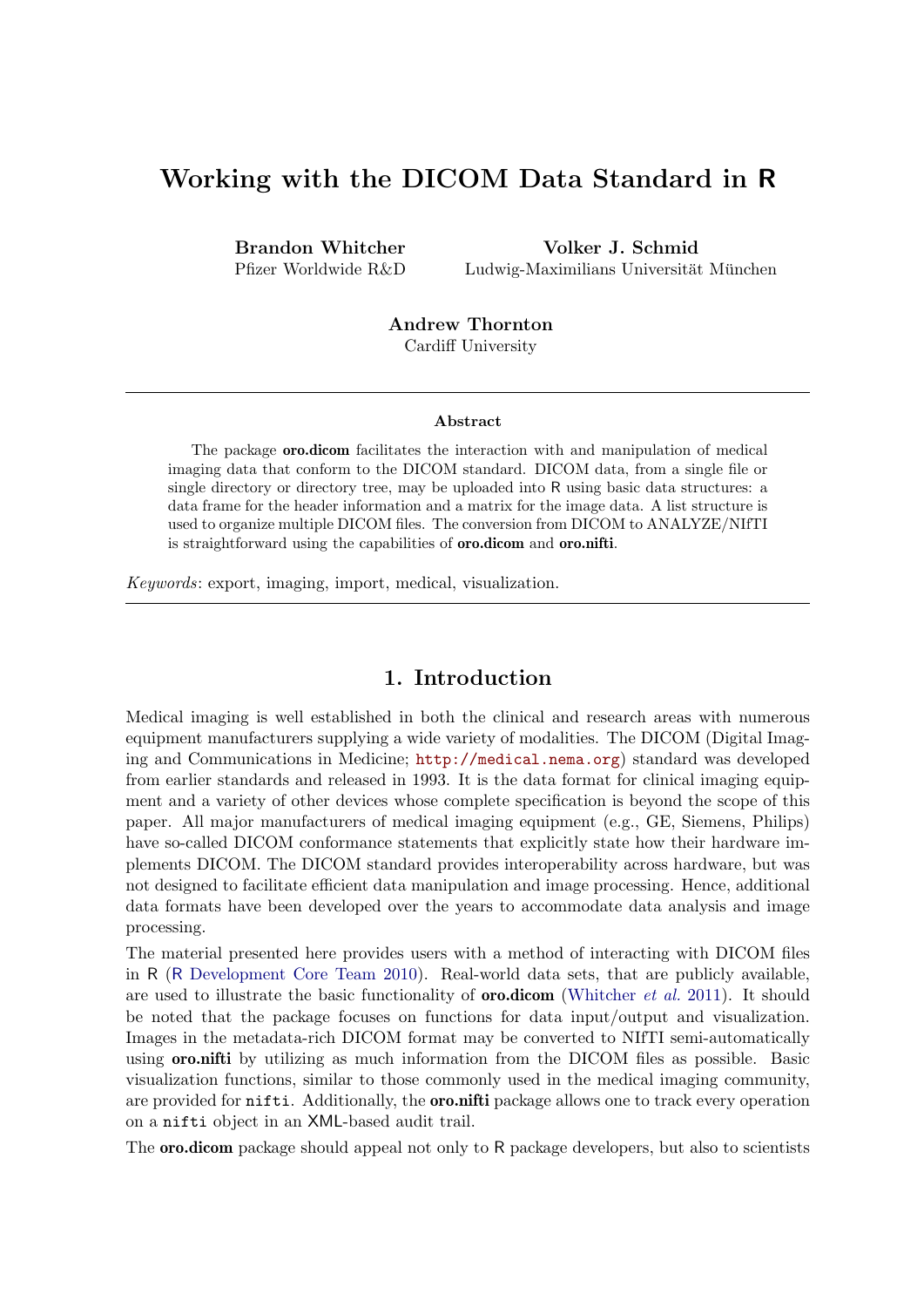# Working with the DICOM Data Standard in R

Brandon Whitcher Pfizer Worldwide R&D

Volker J. Schmid Ludwig-Maximilians Universität München

Andrew Thornton Cardiff University

#### Abstract

The package oro.dicom facilitates the interaction with and manipulation of medical imaging data that conform to the DICOM standard. DICOM data, from a single file or single directory or directory tree, may be uploaded into R using basic data structures: a data frame for the header information and a matrix for the image data. A list structure is used to organize multiple DICOM files. The conversion from DICOM to ANALYZE/NIfTI is straightforward using the capabilities of oro.dicom and oro.nifti.

*Keywords*: export, imaging, import, medical, visualization.

## 1. Introduction

Medical imaging is well established in both the clinical and research areas with numerous equipment manufacturers supplying a wide variety of modalities. The DICOM (Digital Imaging and Communications in Medicine; http://medical.nema.org) standard was developed from earlier standards and released in 1993. It is the data format for clinical imaging equipment and a variety of other devices whose complete specification is beyond the scope of this paper. All major manufacturers of medical imaging equipment (e.g., GE, Siemens, Philips) have so-called DICOM conformance statements that explicitly state how their hardware implements DICOM. The DICOM standard provides interoperability across hardware, but was not designed to facilitate efficient data manipulation and image processing. Hence, additional data formats have been developed over the years to accommodate data analysis and image processing.

The material presented here provides users with a method of interacting with DICOM files in R (R Development Core Team 2010). Real-world data sets, that are publicly available, are used to illustrate the basic functionality of oro.dicom (Whitcher *et al.* 2011). It should be noted that the package focuses on functions for data input/output and visualization. Images in the metadata-rich DICOM format may be converted to NIfTI semi-automatically using **oro.nifti** by utilizing as much information from the DICOM files as possible. Basic visualization functions, similar to those commonly used in the medical imaging community, are provided for **nifti.** Additionally, the **oro.nifti** package allows one to track every operation on a nifti object in an XML-based audit trail.

The **oro.dicom** package should appeal not only to R package developers, but also to scientists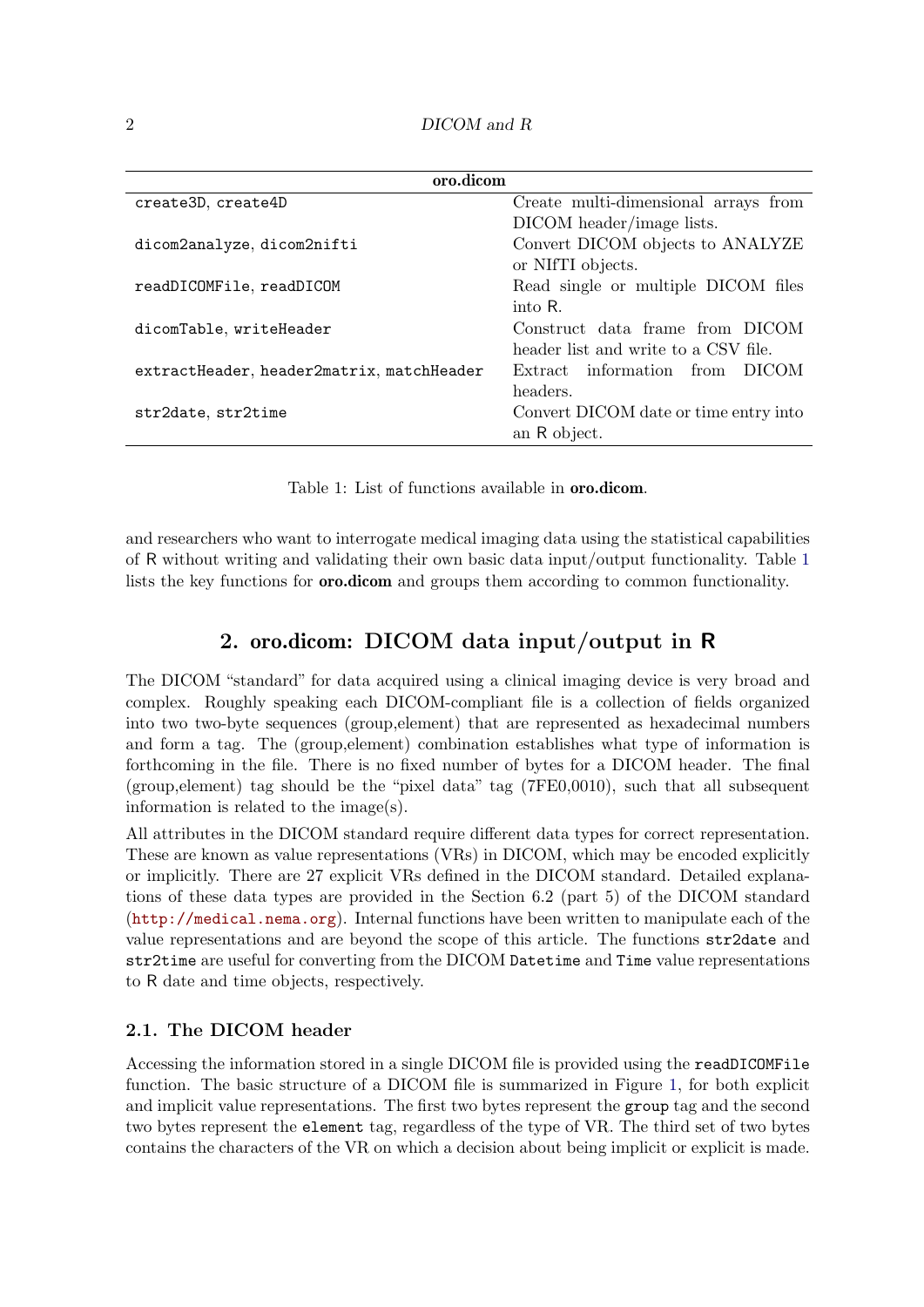| oro.dicom                                 |                                       |  |  |  |  |  |
|-------------------------------------------|---------------------------------------|--|--|--|--|--|
| create3D, create4D                        | Create multi-dimensional arrays from  |  |  |  |  |  |
|                                           | DICOM header/image lists.             |  |  |  |  |  |
| dicom2analyze, dicom2nifti                | Convert DICOM objects to ANALYZE      |  |  |  |  |  |
|                                           | or NIfTI objects.                     |  |  |  |  |  |
| readDICOMFile, readDICOM                  | Read single or multiple DICOM files   |  |  |  |  |  |
|                                           | into R.                               |  |  |  |  |  |
| dicomTable, writeHeader                   | Construct data frame from DICOM       |  |  |  |  |  |
|                                           | header list and write to a CSV file.  |  |  |  |  |  |
| extractHeader, header2matrix, matchHeader | Extract information from DICOM        |  |  |  |  |  |
|                                           | headers.                              |  |  |  |  |  |
| str2date, str2time                        | Convert DICOM date or time entry into |  |  |  |  |  |
|                                           | an R object.                          |  |  |  |  |  |

Table 1: List of functions available in oro.dicom.

and researchers who want to interrogate medical imaging data using the statistical capabilities of R without writing and validating their own basic data input/output functionality. Table 1 lists the key functions for oro.dicom and groups them according to common functionality.

# 2. oro.dicom: DICOM data input/output in R

The DICOM "standard" for data acquired using a clinical imaging device is very broad and complex. Roughly speaking each DICOM-compliant file is a collection of fields organized into two two-byte sequences (group,element) that are represented as hexadecimal numbers and form a tag. The (group,element) combination establishes what type of information is forthcoming in the file. There is no fixed number of bytes for a DICOM header. The final (group,element) tag should be the "pixel data" tag (7FE0,0010), such that all subsequent information is related to the image(s).

All attributes in the DICOM standard require different data types for correct representation. These are known as value representations (VRs) in DICOM, which may be encoded explicitly or implicitly. There are 27 explicit VRs defined in the DICOM standard. Detailed explanations of these data types are provided in the Section 6.2 (part 5) of the DICOM standard (http://medical.nema.org). Internal functions have been written to manipulate each of the value representations and are beyond the scope of this article. The functions str2date and str2time are useful for converting from the DICOM Datetime and Time value representations to R date and time objects, respectively.

### 2.1. The DICOM header

Accessing the information stored in a single DICOM file is provided using the readDICOMFile function. The basic structure of a DICOM file is summarized in Figure 1, for both explicit and implicit value representations. The first two bytes represent the group tag and the second two bytes represent the element tag, regardless of the type of VR. The third set of two bytes contains the characters of the VR on which a decision about being implicit or explicit is made.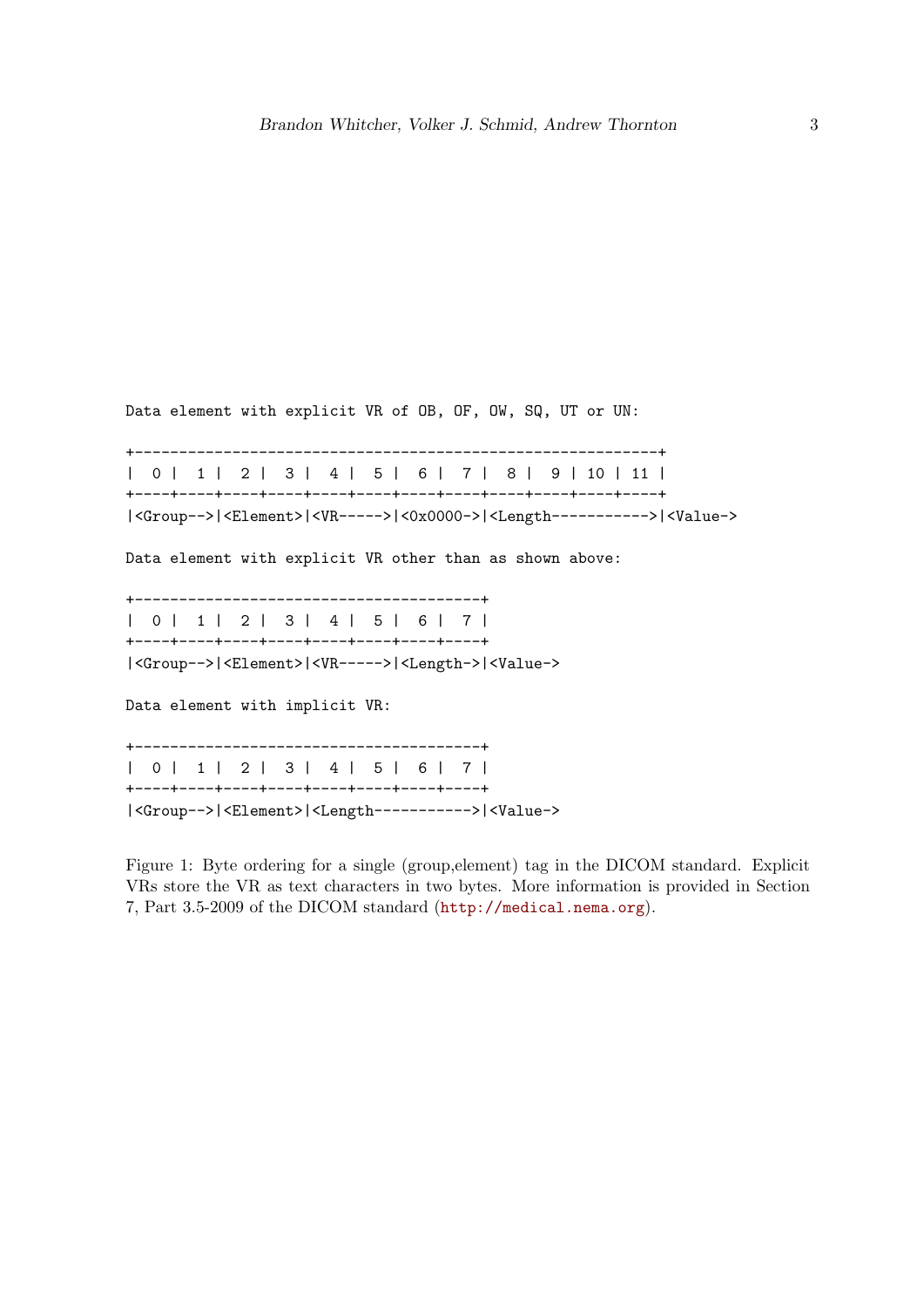Data element with explicit VR of OB, OF, OW, SQ, UT or UN:

+-----------------------------------------------------------+ | 0 | 1 | 2 | 3 | 4 | 5 | 6 | 7 | 8 | 9 | 10 | 11 | +----+----+----+----+----+----+----+----+----+----+----+----+ |<Group-->|<Element>|<VR----->|<0x0000->|<Length----------->|<Value-> Data element with explicit VR other than as shown above: +---------------------------------------+ | 0 | 1 | 2 | 3 | 4 | 5 | 6 | 7 | +----+----+----+----+----+----+----+----+ |<Group-->|<Element>|<VR----->|<Length->|<Value-> Data element with implicit VR: +---------------------------------------+ | 0 | 1 | 2 | 3 | 4 | 5 | 6 | 7 | +----+----+----+----+----+----+----+----+ |<Group-->|<Element>|<Length----------->|<Value->

Figure 1: Byte ordering for a single (group,element) tag in the DICOM standard. Explicit VRs store the VR as text characters in two bytes. More information is provided in Section 7, Part 3.5-2009 of the DICOM standard (http://medical.nema.org).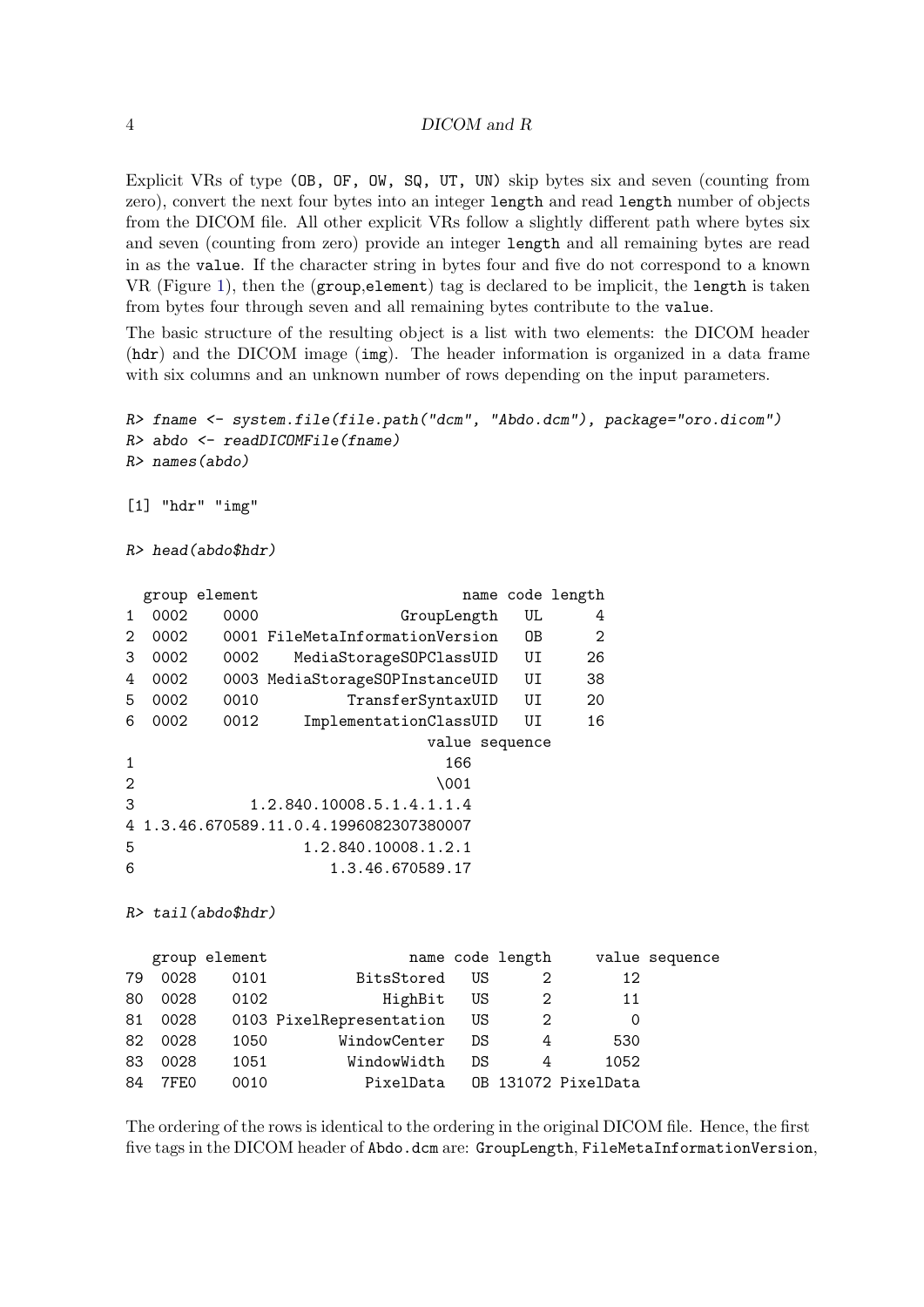Explicit VRs of type (OB, OF, OW, SQ, UT, UN) skip bytes six and seven (counting from zero), convert the next four bytes into an integer length and read length number of objects from the DICOM file. All other explicit VRs follow a slightly different path where bytes six and seven (counting from zero) provide an integer length and all remaining bytes are read in as the value. If the character string in bytes four and five do not correspond to a known VR (Figure 1), then the (group,element) tag is declared to be implicit, the length is taken from bytes four through seven and all remaining bytes contribute to the value.

The basic structure of the resulting object is a list with two elements: the DICOM header (hdr) and the DICOM image (img). The header information is organized in a data frame with six columns and an unknown number of rows depending on the input parameters.

```
R> fname <- system.file(file.path("dcm", "Abdo.dcm"), package="oro.dicom")
R> abdo <- readDICOMFile(fname)
R> names(abdo)
[1] "hdr" "img"
R> head(abdo$hdr)
 group element name code length
1 0002 0000 GroupLength UL 4
2 0002 0001 FileMetaInformationVersion OB 2
3 0002 0002 MediaStorageSOPClassUID UI 26
4 0002 0003 MediaStorageSOPInstanceUID UI 38
5 0002 0010 TransferSyntaxUID UI 20
6 0002 0012 ImplementationClassUID UI 16
                       value sequence
1 166
2 \001
3 1.2.840.10008.5.1.4.1.1.4
4 1.3.46.670589.11.0.4.1996082307380007
5 1.2.840.10008.1.2.1
6 1.3.46.670589.17
R> tail(abdo$hdr)
  group element name code length value sequence
79 0028 0101 BitsStored US 2 12
80 0028 0102 HighBit US 2 11
81 0028 0103 PixelRepresentation US 2 0
```

| 82 0028      | 1050 | WindowCenter DS               | 4 | 530  |  |
|--------------|------|-------------------------------|---|------|--|
| 83 0028 1051 |      | WindowWidth DS 4              |   | 1052 |  |
| 84 7FE0      | 0010 | PixelData OB 131072 PixelData |   |      |  |

The ordering of the rows is identical to the ordering in the original DICOM file. Hence, the first five tags in the DICOM header of Abdo.dcm are: GroupLength, FileMetaInformationVersion,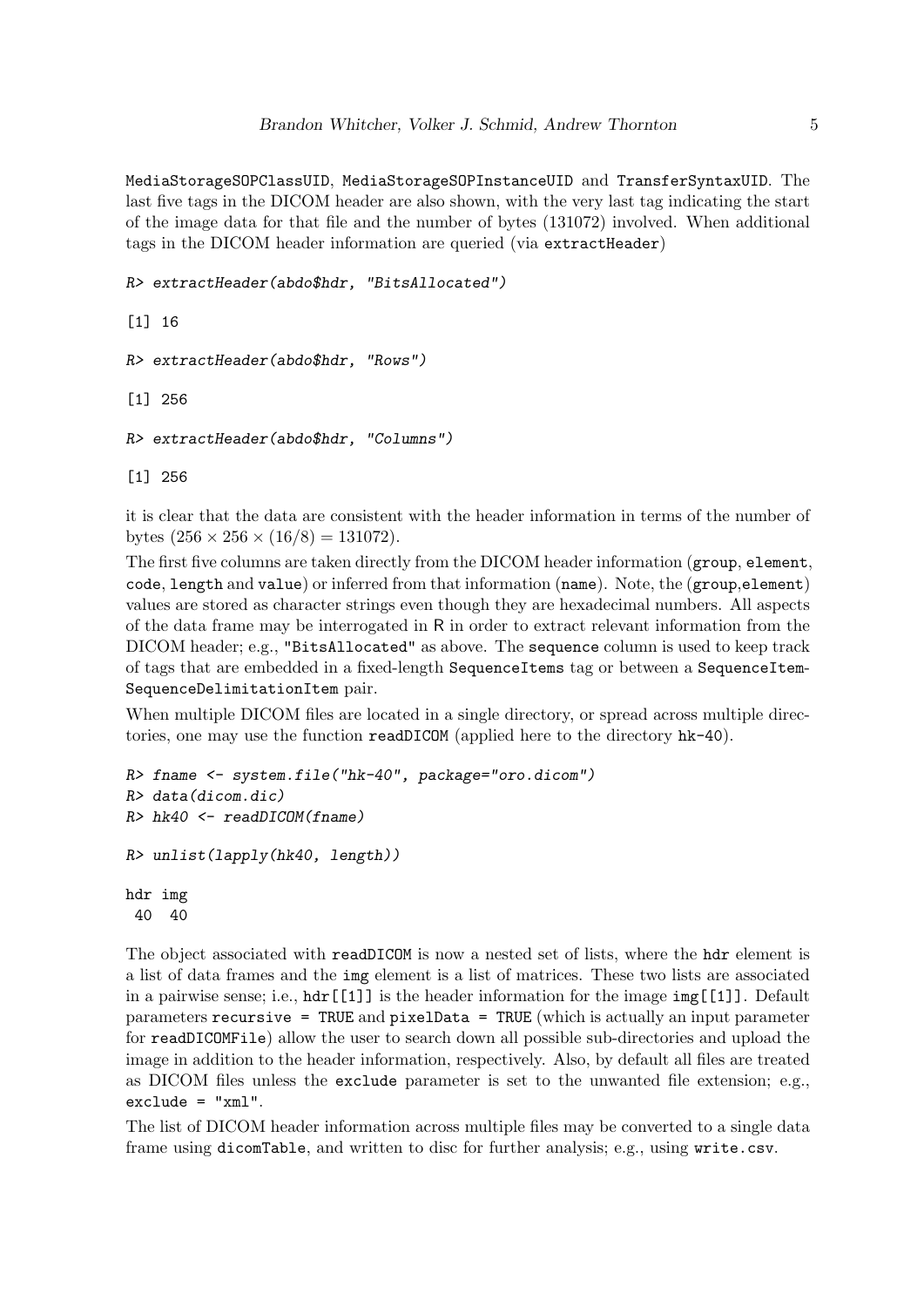MediaStorageSOPClassUID, MediaStorageSOPInstanceUID and TransferSyntaxUID. The last five tags in the DICOM header are also shown, with the very last tag indicating the start of the image data for that file and the number of bytes (131072) involved. When additional tags in the DICOM header information are queried (via extractHeader)

```
R> extractHeader(abdo$hdr, "BitsAllocated")
```

```
[1] 16
```

```
R> extractHeader(abdo$hdr, "Rows")
```

```
[1] 256
```

```
R> extractHeader(abdo$hdr, "Columns")
```
[1] 256

it is clear that the data are consistent with the header information in terms of the number of bytes  $(256 \times 256 \times (16/8) = 131072)$ .

The first five columns are taken directly from the DICOM header information (group, element, code, length and value) or inferred from that information (name). Note, the (group,element) values are stored as character strings even though they are hexadecimal numbers. All aspects of the data frame may be interrogated in R in order to extract relevant information from the DICOM header; e.g., "BitsAllocated" as above. The sequence column is used to keep track of tags that are embedded in a fixed-length SequenceItems tag or between a SequenceItem-SequenceDelimitationItem pair.

When multiple DICOM files are located in a single directory, or spread across multiple directories, one may use the function readDICOM (applied here to the directory hk-40).

```
R> fname <- system.file("hk-40", package="oro.dicom")
R> data(dicom.dic)
R> hk40 <- readDICOM(fname)
R> unlist(lapply(hk40, length))
hdr img
 40 40
```
The object associated with readDICOM is now a nested set of lists, where the hdr element is a list of data frames and the img element is a list of matrices. These two lists are associated in a pairwise sense; i.e.,  $\hat{\mathbf{h}}$ dr [[1]] is the header information for the image  $\operatorname{img}$  [[1]]. Default parameters recursive = TRUE and pixelData = TRUE (which is actually an input parameter for readDICOMFile) allow the user to search down all possible sub-directories and upload the image in addition to the header information, respectively. Also, by default all files are treated as DICOM files unless the exclude parameter is set to the unwanted file extension; e.g.,  $exclude = "xml".$ 

The list of DICOM header information across multiple files may be converted to a single data frame using dicomTable, and written to disc for further analysis; e.g., using write.csv.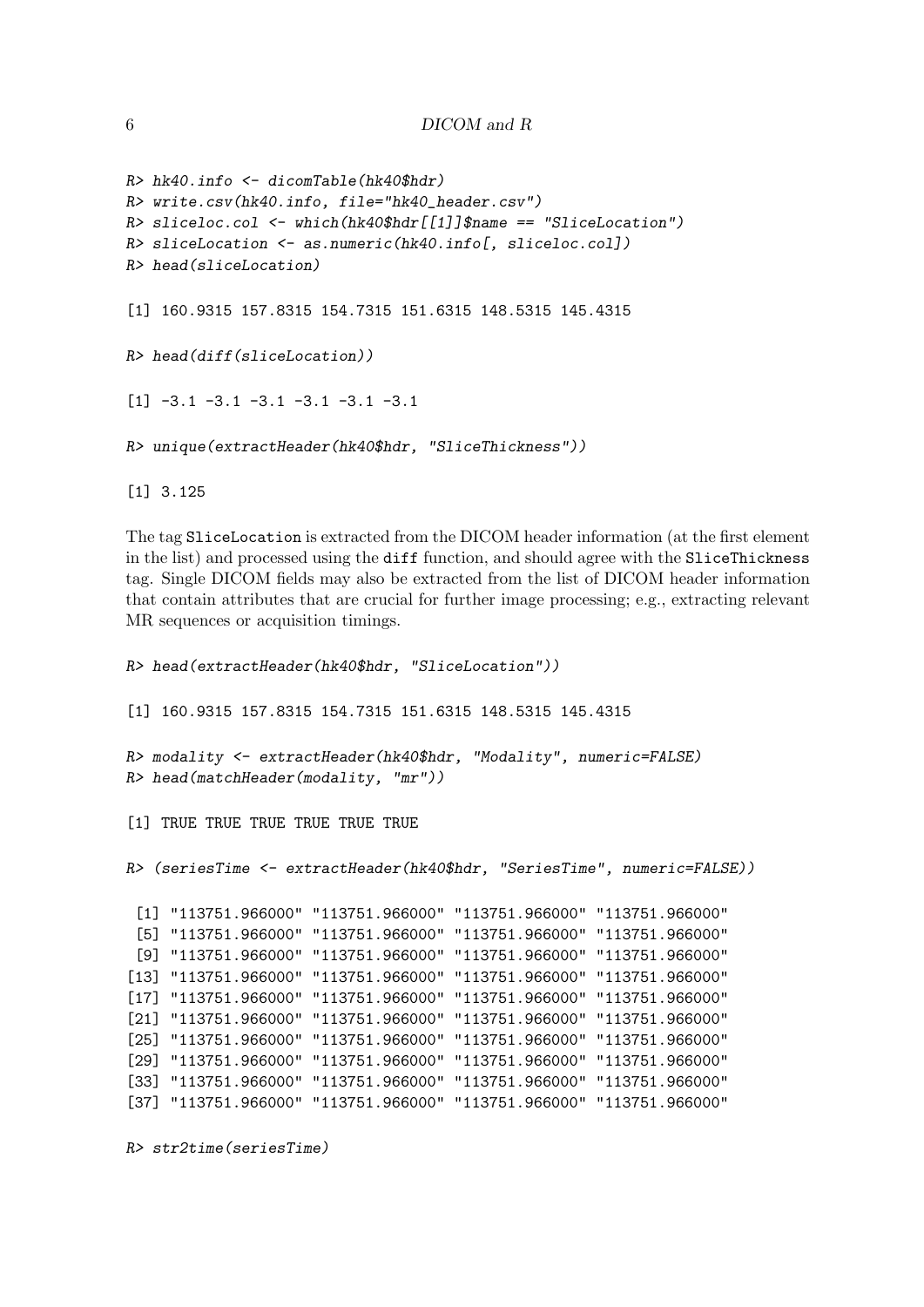```
R> hk40.info <- dicomTable(hk40$hdr)
R> write.csv(hk40.info, file="hk40_header.csv")
R> sliceloc.col <- which(hk40$hdr[[1]]$name == "SliceLocation")
R> sliceLocation <- as.numeric(hk40.info[, sliceloc.col])
R> head(sliceLocation)
[1] 160.9315 157.8315 154.7315 151.6315 148.5315 145.4315
R> head(diff(sliceLocation))
[1] -3.1 -3.1 -3.1 -3.1 -3.1 -3.1
```
*R> unique(extractHeader(hk40\$hdr, "SliceThickness"))*

[1] 3.125

The tag SliceLocation is extracted from the DICOM header information (at the first element in the list) and processed using the diff function, and should agree with the SliceThickness tag. Single DICOM fields may also be extracted from the list of DICOM header information that contain attributes that are crucial for further image processing; e.g., extracting relevant MR sequences or acquisition timings.

```
R> head(extractHeader(hk40$hdr, "SliceLocation"))
[1] 160.9315 157.8315 154.7315 151.6315 148.5315 145.4315
R> modality <- extractHeader(hk40$hdr, "Modality", numeric=FALSE)
R> head(matchHeader(modality, "mr"))
[1] TRUE TRUE TRUE TRUE TRUE TRUE
R> (seriesTime <- extractHeader(hk40$hdr, "SeriesTime", numeric=FALSE))
 [1] "113751.966000" "113751.966000" "113751.966000" "113751.966000"
 [5] "113751.966000" "113751.966000" "113751.966000" "113751.966000"
 [9] "113751.966000" "113751.966000" "113751.966000" "113751.966000"
[13] "113751.966000" "113751.966000" "113751.966000" "113751.966000"
[17] "113751.966000" "113751.966000" "113751.966000" "113751.966000"
[21] "113751.966000" "113751.966000" "113751.966000" "113751.966000"
[25] "113751.966000" "113751.966000" "113751.966000" "113751.966000"
[29] "113751.966000" "113751.966000" "113751.966000" "113751.966000"
[33] "113751.966000" "113751.966000" "113751.966000" "113751.966000"
```
[37] "113751.966000" "113751.966000" "113751.966000" "113751.966000"

*R> str2time(seriesTime)*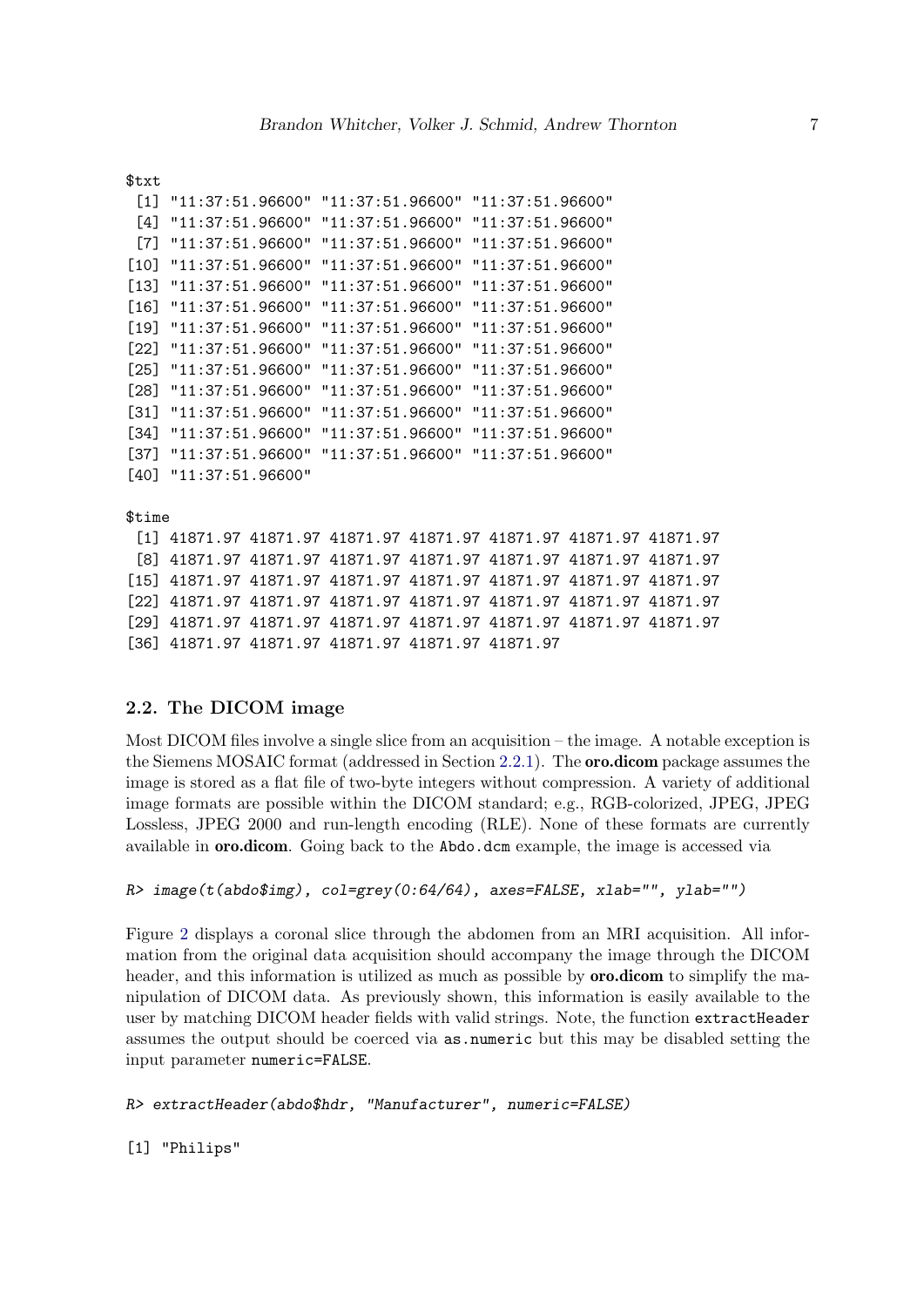```
$txt
```

```
[1] "11:37:51.96600" "11:37:51.96600" "11:37:51.96600"
 [4] "11:37:51.96600" "11:37:51.96600" "11:37:51.96600"
 [7] "11:37:51.96600" "11:37:51.96600" "11:37:51.96600"
[10] "11:37:51.96600" "11:37:51.96600" "11:37:51.96600"
[13] "11:37:51.96600" "11:37:51.96600" "11:37:51.96600"
[16] "11:37:51.96600" "11:37:51.96600" "11:37:51.96600"
[19] "11:37:51.96600" "11:37:51.96600" "11:37:51.96600"
[22] "11:37:51.96600" "11:37:51.96600" "11:37:51.96600"
[25] "11:37:51.96600" "11:37:51.96600" "11:37:51.96600"
[28] "11:37:51.96600" "11:37:51.96600" "11:37:51.96600"
[31] "11:37:51.96600" "11:37:51.96600" "11:37:51.96600"
[34] "11:37:51.96600" "11:37:51.96600" "11:37:51.96600"
[37] "11:37:51.96600" "11:37:51.96600" "11:37:51.96600"
[40] "11:37:51.96600"
```
\$time

[1] 41871.97 41871.97 41871.97 41871.97 41871.97 41871.97 41871.97 [8] 41871.97 41871.97 41871.97 41871.97 41871.97 41871.97 41871.97 [15] 41871.97 41871.97 41871.97 41871.97 41871.97 41871.97 41871.97 [22] 41871.97 41871.97 41871.97 41871.97 41871.97 41871.97 41871.97 [29] 41871.97 41871.97 41871.97 41871.97 41871.97 41871.97 41871.97 [36] 41871.97 41871.97 41871.97 41871.97 41871.97

### 2.2. The DICOM image

Most DICOM files involve a single slice from an acquisition – the image. A notable exception is the Siemens MOSAIC format (addressed in Section 2.2.1). The oro.dicom package assumes the image is stored as a flat file of two-byte integers without compression. A variety of additional image formats are possible within the DICOM standard; e.g., RGB-colorized, JPEG, JPEG Lossless, JPEG 2000 and run-length encoding (RLE). None of these formats are currently available in oro.dicom. Going back to the Abdo.dcm example, the image is accessed via

```
R> image(t(abdo$img), col=grey(0:64/64), axes=FALSE, xlab="", ylab="")
```
Figure 2 displays a coronal slice through the abdomen from an MRI acquisition. All information from the original data acquisition should accompany the image through the DICOM header, and this information is utilized as much as possible by **oro.dicom** to simplify the manipulation of DICOM data. As previously shown, this information is easily available to the user by matching DICOM header fields with valid strings. Note, the function extractHeader assumes the output should be coerced via as.numeric but this may be disabled setting the input parameter numeric=FALSE.

```
R> extractHeader(abdo$hdr, "Manufacturer", numeric=FALSE)
```
[1] "Philips"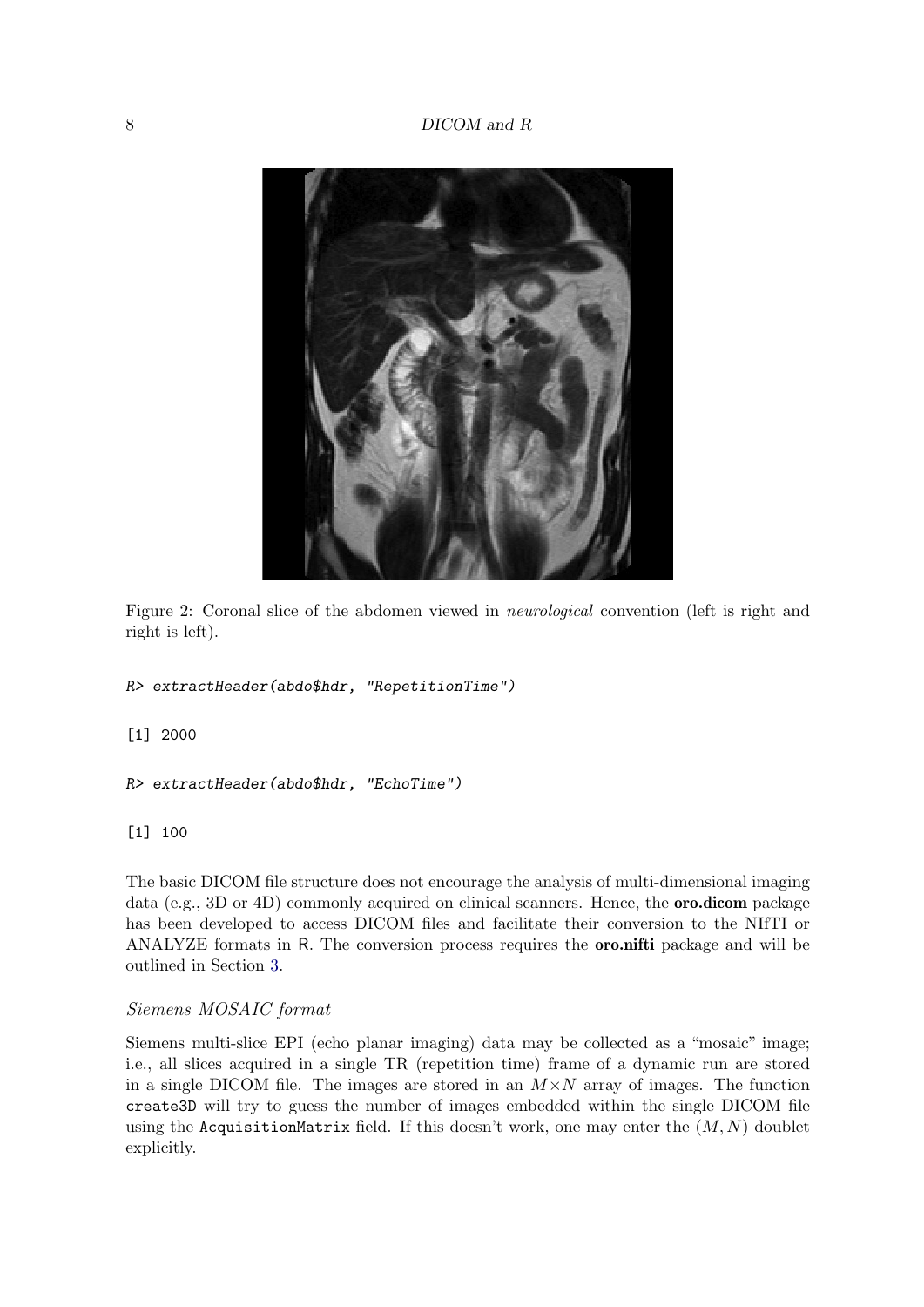

Figure 2: Coronal slice of the abdomen viewed in *neurological* convention (left is right and right is left).

```
R> extractHeader(abdo$hdr, "RepetitionTime")
```
[1] 2000

```
R> extractHeader(abdo$hdr, "EchoTime")
```
[1] 100

The basic DICOM file structure does not encourage the analysis of multi-dimensional imaging data (e.g., 3D or 4D) commonly acquired on clinical scanners. Hence, the **oro.dicom** package has been developed to access DICOM files and facilitate their conversion to the NIfTI or ANALYZE formats in R. The conversion process requires the oro.nifti package and will be outlined in Section 3.

### Siemens MOSAIC format

Siemens multi-slice EPI (echo planar imaging) data may be collected as a "mosaic" image; i.e., all slices acquired in a single TR (repetition time) frame of a dynamic run are stored in a single DICOM file. The images are stored in an  $M \times N$  array of images. The function create3D will try to guess the number of images embedded within the single DICOM file using the AcquisitionMatrix field. If this doesn't work, one may enter the  $(M, N)$  doublet explicitly.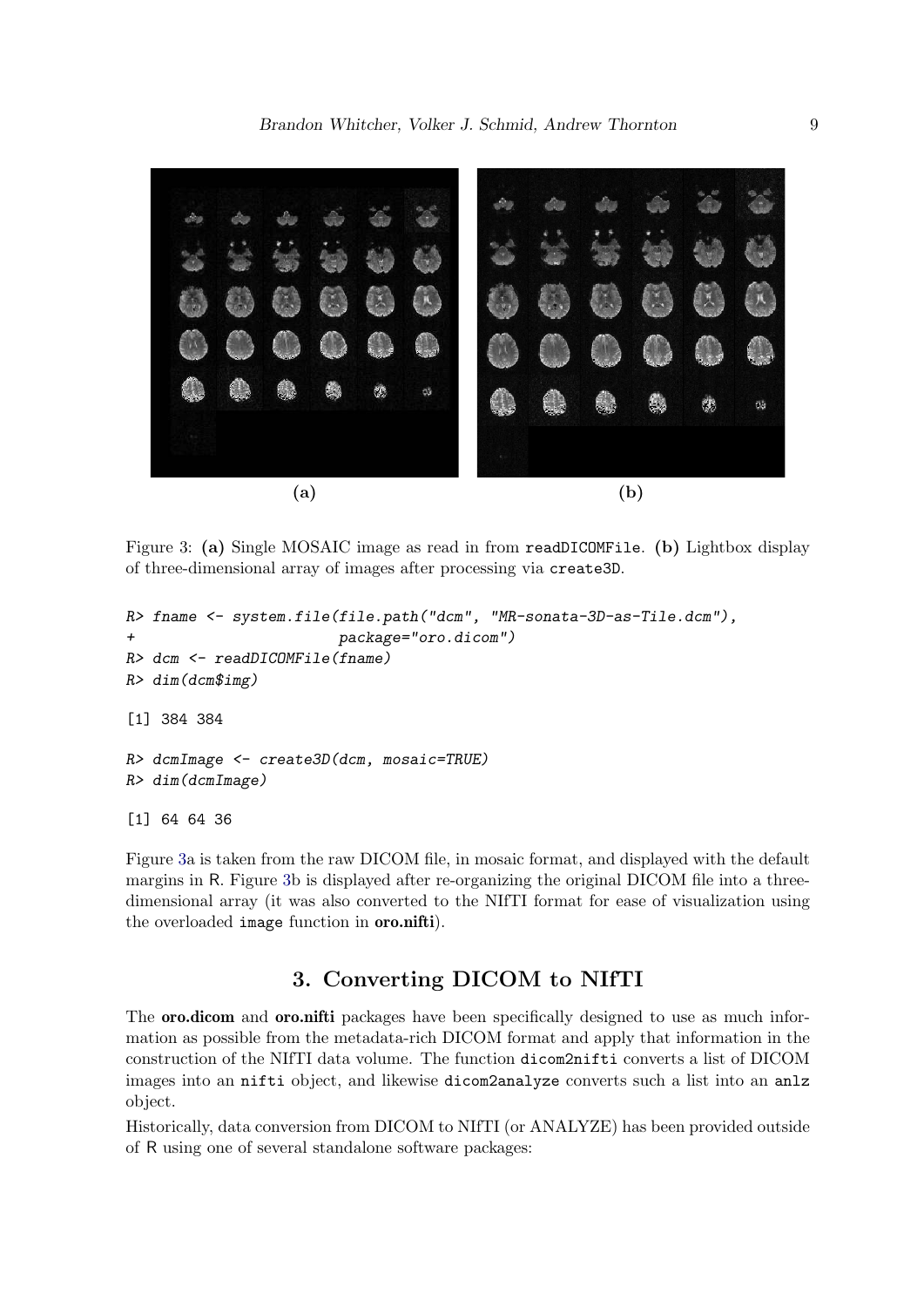

Figure 3: (a) Single MOSAIC image as read in from readDICOMFile. (b) Lightbox display of three-dimensional array of images after processing via create3D.

```
R> fname <- system.file(file.path("dcm", "MR-sonata-3D-as-Tile.dcm"),
+ package="oro.dicom")
R> dcm <- readDICOMFile(fname)
R> dim(dcm$img)
[1] 384 384
R> dcmImage <- create3D(dcm, mosaic=TRUE)
R> dim(dcmImage)
[1] 64 64 36
```
Figure 3a is taken from the raw DICOM file, in mosaic format, and displayed with the default margins in R. Figure 3b is displayed after re-organizing the original DICOM file into a threedimensional array (it was also converted to the NIfTI format for ease of visualization using the overloaded image function in oro.nifti).

# 3. Converting DICOM to NIfTI

The **oro.dicom** and **oro.nifti** packages have been specifically designed to use as much information as possible from the metadata-rich DICOM format and apply that information in the construction of the NIfTI data volume. The function dicom2nifti converts a list of DICOM images into an nifti object, and likewise dicom2analyze converts such a list into an anlz object.

Historically, data conversion from DICOM to NIfTI (or ANALYZE) has been provided outside of R using one of several standalone software packages: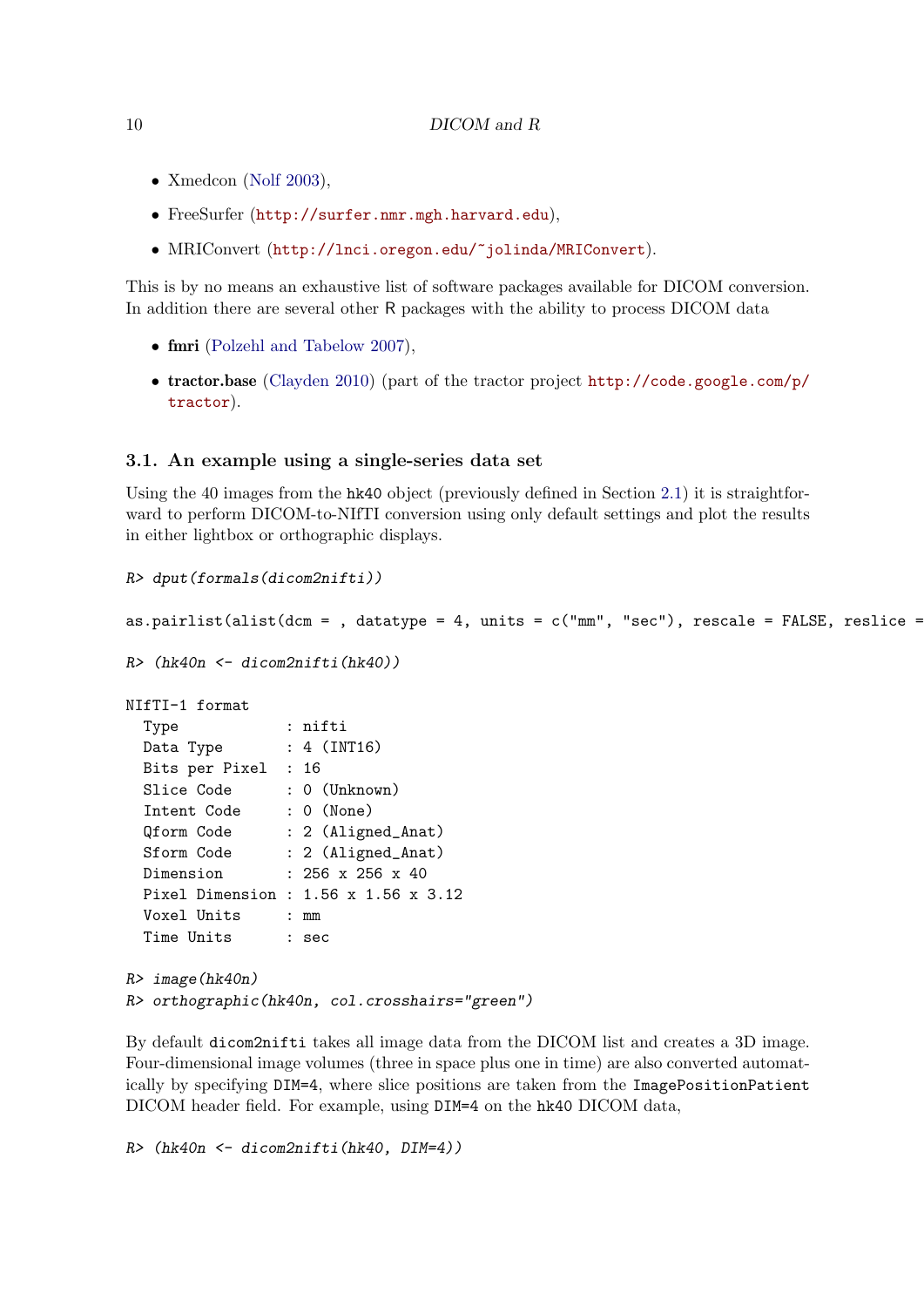- Xmedcon (Nolf 2003),
- FreeSurfer (http://surfer.nmr.mgh.harvard.edu),
- MRIConvert (http://lnci.oregon.edu/~jolinda/MRIConvert).

This is by no means an exhaustive list of software packages available for DICOM conversion. In addition there are several other R packages with the ability to process DICOM data

- fmri (Polzehl and Tabelow 2007),
- tractor.base (Clayden 2010) (part of the tractor project http://code.google.com/p/ tractor).

### 3.1. An example using a single-series data set

Using the 40 images from the  $h\&40$  object (previously defined in Section 2.1) it is straightforward to perform DICOM-to-NIfTI conversion using only default settings and plot the results in either lightbox or orthographic displays.

```
R> dput(formals(dicom2nifti))
as.pairlist(alist(dcm = , datatype = 4, units = c("mm", "sec"), rescale = FALSE, residue =R> (hk40n <- dicom2nifti(hk40))
NIfTI-1 format
 Type : nifti
 Data Type : 4 (INT16)
 Bits per Pixel : 16
 Slice Code : 0 (Unknown)
 Intent Code : 0 (None)
 Qform Code : 2 (Aligned_Anat)
 Sform Code : 2 (Aligned_Anat)
 Dimension : 256 x 256 x 40
 Pixel Dimension : 1.56 x 1.56 x 3.12
 Voxel Units : mm
 Time Units : sec
R> image(hk40n)
R> orthographic(hk40n, col.crosshairs="green")
```
By default dicom2nifti takes all image data from the DICOM list and creates a 3D image. Four-dimensional image volumes (three in space plus one in time) are also converted automatically by specifying DIM=4, where slice positions are taken from the ImagePositionPatient DICOM header field. For example, using DIM=4 on the hk40 DICOM data,

```
R> (hk40n <- dicom2nifti(hk40, DIM=4))
```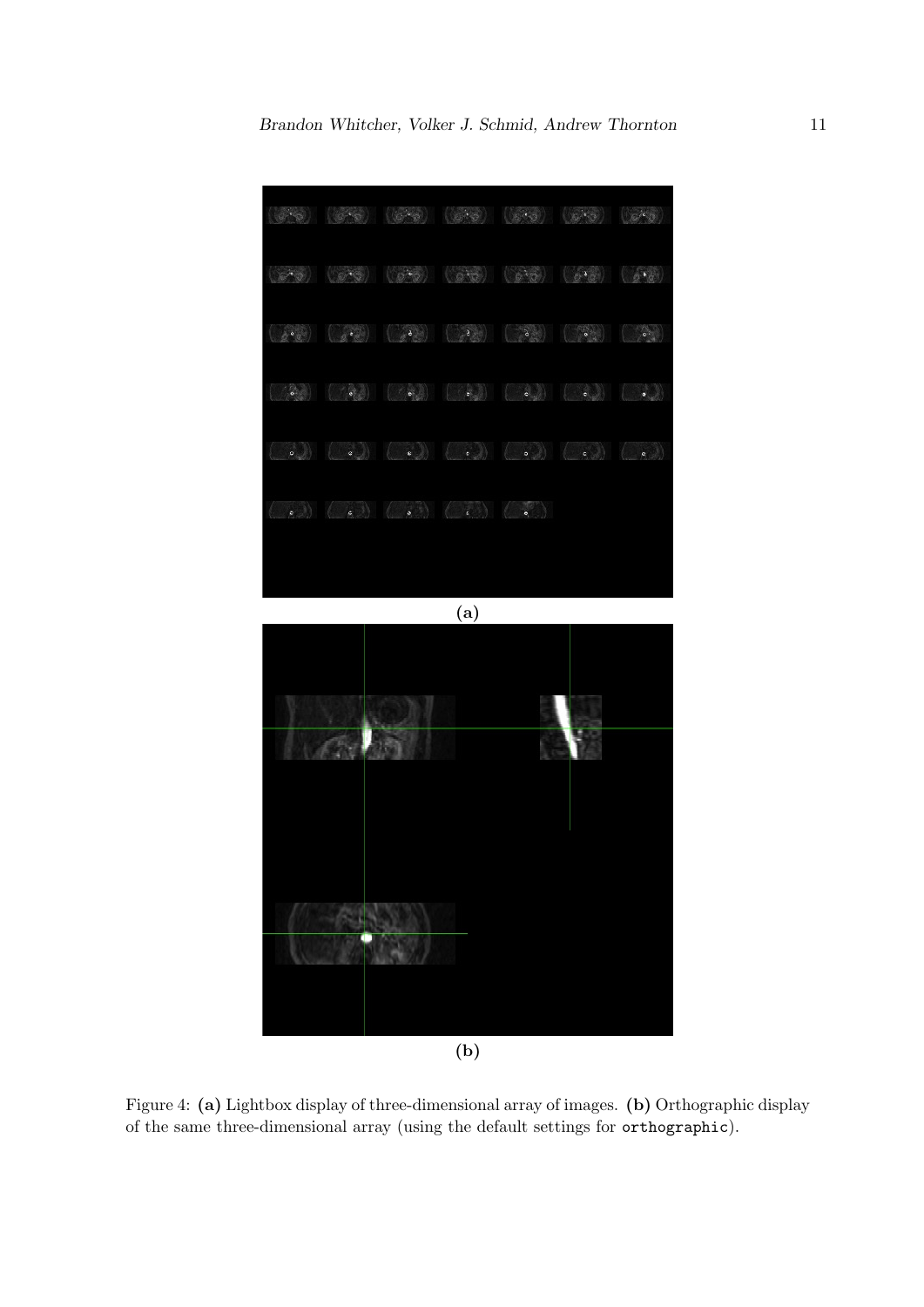

Figure 4: (a) Lightbox display of three-dimensional array of images. (b) Orthographic display of the same three-dimensional array (using the default settings for orthographic).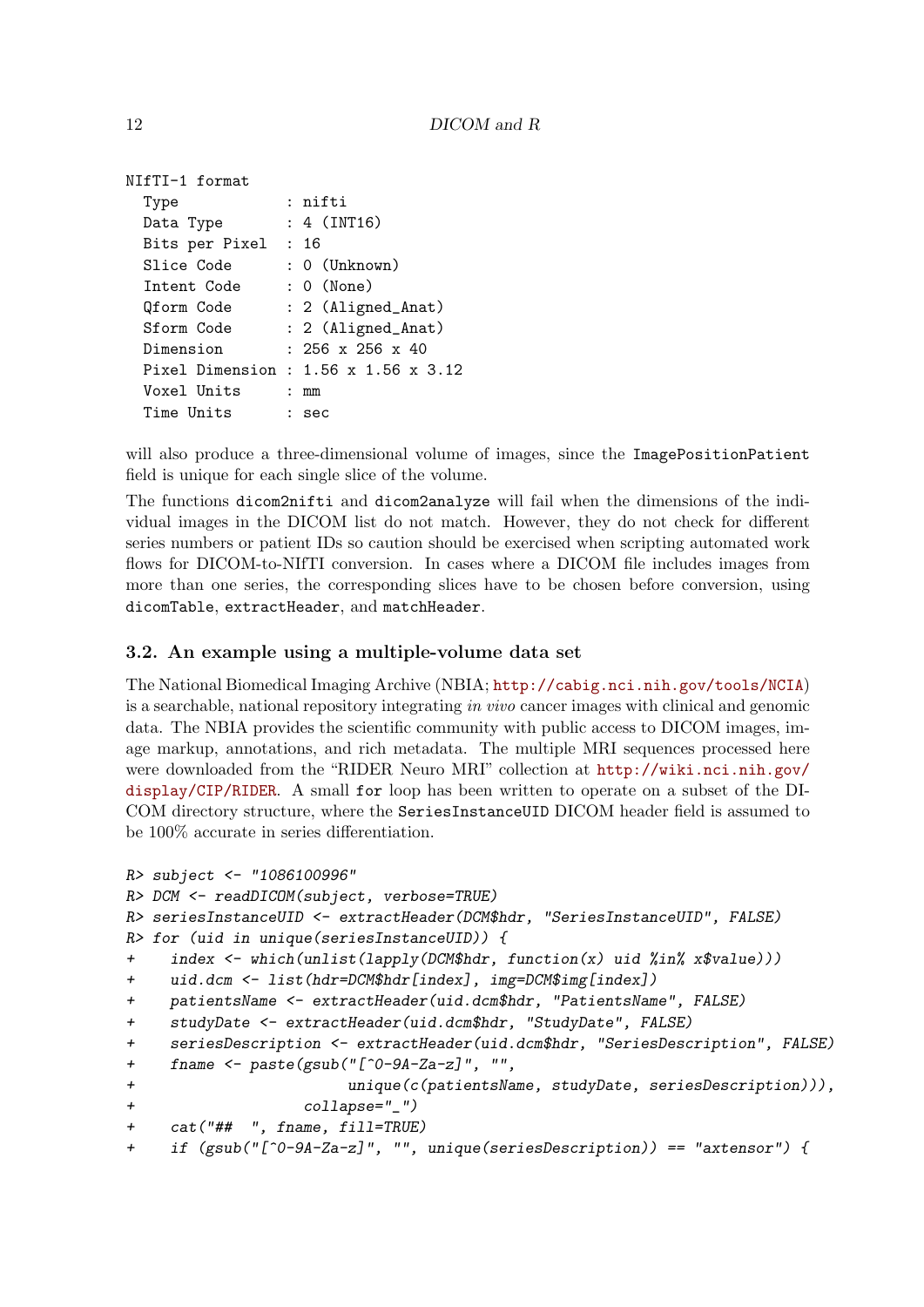```
NIfTI-1 format
 Type : nifti
 Data Type : 4 (INT16)
 Bits per Pixel : 16
 Slice Code : 0 (Unknown)
 Intent Code : 0 (None)
 Qform Code : 2 (Aligned_Anat)
 Sform Code : 2 (Aligned_Anat)
 Dimension : 256 x 256 x 40
 Pixel Dimension : 1.56 x 1.56 x 3.12
 Voxel Units : mm
 Time Units : sec
```
will also produce a three-dimensional volume of images, since the ImagePositionPatient field is unique for each single slice of the volume.

The functions dicom2nifti and dicom2analyze will fail when the dimensions of the individual images in the DICOM list do not match. However, they do not check for different series numbers or patient IDs so caution should be exercised when scripting automated work flows for DICOM-to-NIfTI conversion. In cases where a DICOM file includes images from more than one series, the corresponding slices have to be chosen before conversion, using dicomTable, extractHeader, and matchHeader.

### 3.2. An example using a multiple-volume data set

The National Biomedical Imaging Archive (NBIA; http://cabig.nci.nih.gov/tools/NCIA) is a searchable, national repository integrating *in vivo* cancer images with clinical and genomic data. The NBIA provides the scientific community with public access to DICOM images, image markup, annotations, and rich metadata. The multiple MRI sequences processed here were downloaded from the "RIDER Neuro MRI" collection at http://wiki.nci.nih.gov/ display/CIP/RIDER. A small for loop has been written to operate on a subset of the DI-COM directory structure, where the SeriesInstanceUID DICOM header field is assumed to be 100% accurate in series differentiation.

```
R> subject <- "1086100996"
R> DCM <- readDICOM(subject, verbose=TRUE)
R> seriesInstanceUID <- extractHeader(DCM$hdr, "SeriesInstanceUID", FALSE)
R> for (uid in unique(seriesInstanceUID)) {
+ index <- which(unlist(lapply(DCM$hdr, function(x) uid %in% x$value)))
+ uid.dcm <- list(hdr=DCM$hdr[index], img=DCM$img[index])
+ patientsName <- extractHeader(uid.dcm$hdr, "PatientsName", FALSE)
+ studyDate <- extractHeader(uid.dcm$hdr, "StudyDate", FALSE)
+ seriesDescription <- extractHeader(uid.dcm$hdr, "SeriesDescription", FALSE)
+ fname <- paste(gsub("[^0-9A-Za-z]", "",
+ unique(c(patientsName, studyDate, seriesDescription))),
+ collapse="_")
+ cat("## ", fname, fill=TRUE)
+ if (gsub("[^0-9A-Za-z]", "", unique(seriesDescription)) == "axtensor") {
```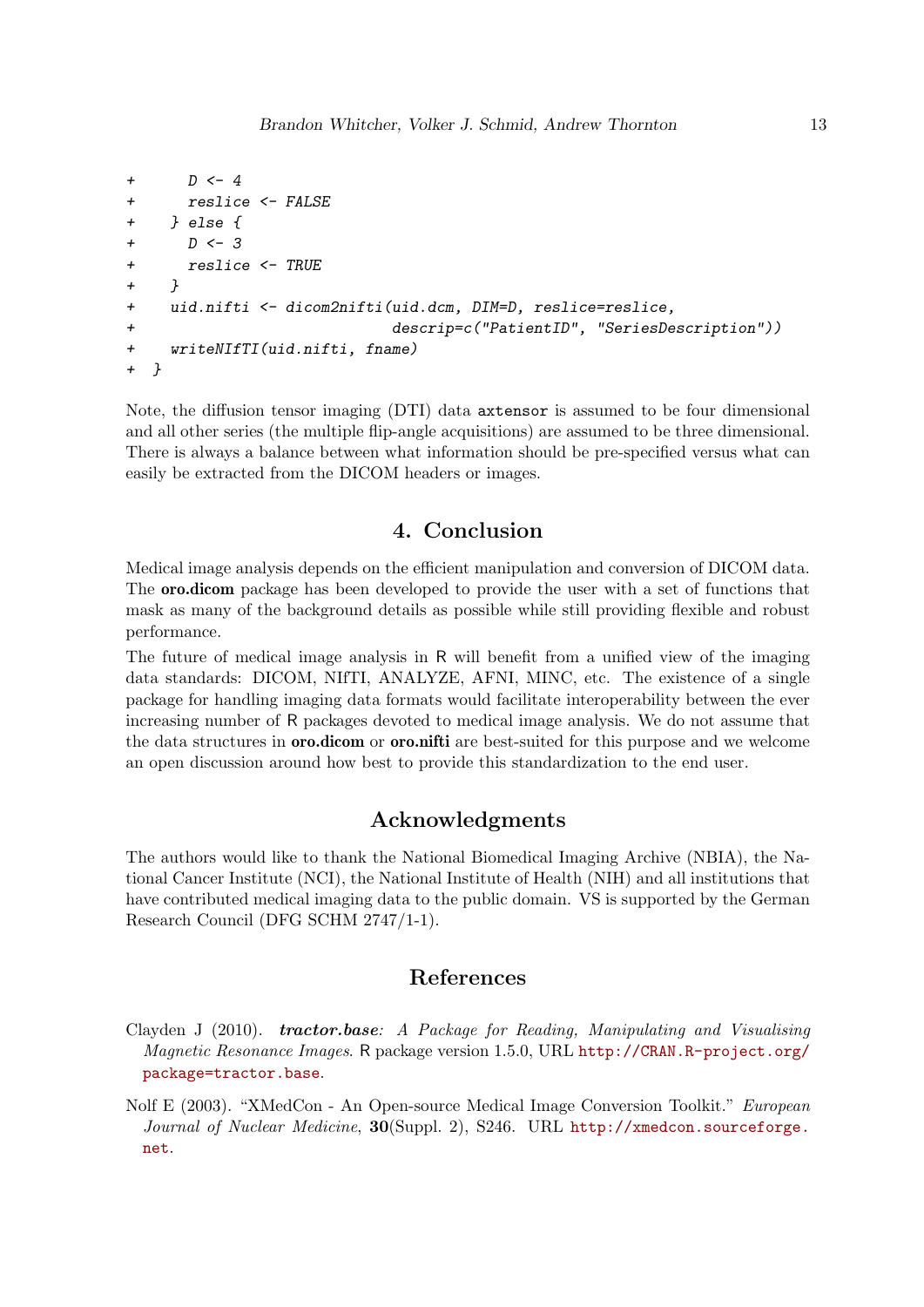```
+ D <- 4
+ reslice <- FALSE
+ } else {
+ D <- 3
+ reslice <- TRUE
+ }
+ uid.nifti <- dicom2nifti(uid.dcm, DIM=D, reslice=reslice,
+ descrip=c("PatientID", "SeriesDescription"))
+ writeNIfTI(uid.nifti, fname)
+ }
```
Note, the diffusion tensor imaging (DTI) data axtensor is assumed to be four dimensional and all other series (the multiple flip-angle acquisitions) are assumed to be three dimensional. There is always a balance between what information should be pre-specified versus what can easily be extracted from the DICOM headers or images.

## 4. Conclusion

Medical image analysis depends on the efficient manipulation and conversion of DICOM data. The oro.dicom package has been developed to provide the user with a set of functions that mask as many of the background details as possible while still providing flexible and robust performance.

The future of medical image analysis in R will benefit from a unified view of the imaging data standards: DICOM, NIfTI, ANALYZE, AFNI, MINC, etc. The existence of a single package for handling imaging data formats would facilitate interoperability between the ever increasing number of R packages devoted to medical image analysis. We do not assume that the data structures in **oro.dicom** or **oro.nifti** are best-suited for this purpose and we welcome an open discussion around how best to provide this standardization to the end user.

### Acknowledgments

The authors would like to thank the National Biomedical Imaging Archive (NBIA), the National Cancer Institute (NCI), the National Institute of Health (NIH) and all institutions that have contributed medical imaging data to the public domain. VS is supported by the German Research Council (DFG SCHM 2747/1-1).

## References

- Clayden J (2010). tractor.base*: A Package for Reading, Manipulating and Visualising Magnetic Resonance Images*. R package version 1.5.0, URL http://CRAN.R-project.org/ package=tractor.base.
- Nolf E (2003). "XMedCon An Open-source Medical Image Conversion Toolkit." *European Journal of Nuclear Medicine*, 30(Suppl. 2), S246. URL http://xmedcon.sourceforge. net.